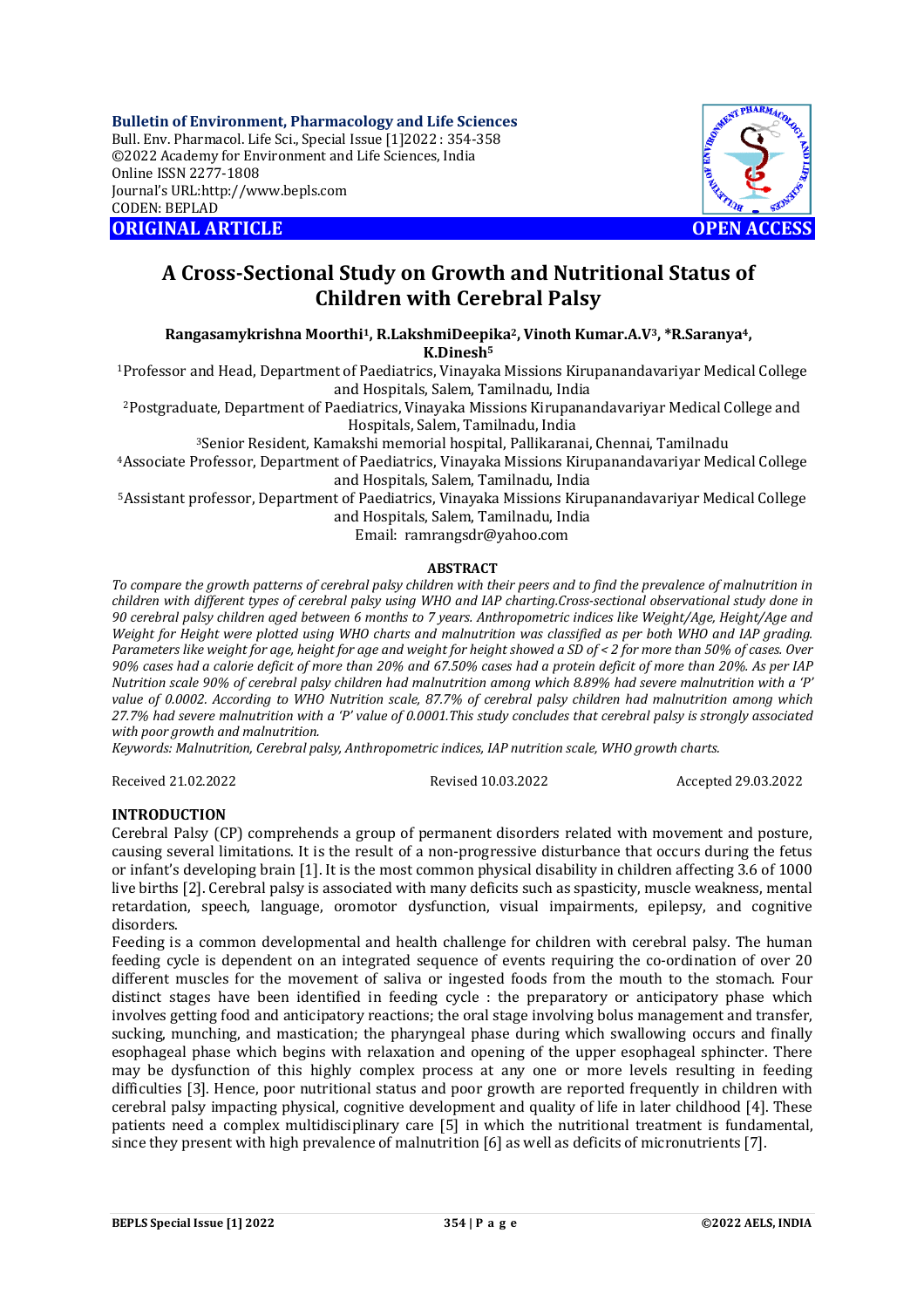**Bulletin of Environment, Pharmacology and Life Sciences** Bull. Env. Pharmacol. Life Sci., Special Issue [1]2022 : 354-358 ©2022 Academy for Environment and Life Sciences, India Online ISSN 2277-1808 Journal's URL:<http://www.bepls.com> CODEN: BEPLAD **ORIGINAL ARTICLE OPEN ACCESS** 



# **A Cross-Sectional Study on Growth and Nutritional Status of Children with Cerebral Palsy**

**Rangasamykrishna Moorthi1, R.LakshmiDeepika2, Vinoth Kumar.A.V3, \*R.Saranya4, K.Dinesh<sup>5</sup>**

<sup>1</sup>Professor and Head, Department of Paediatrics, Vinayaka Missions Kirupanandavariyar Medical College and Hospitals, Salem, Tamilnadu, India

<sup>2</sup>Postgraduate, Department of Paediatrics, Vinayaka Missions Kirupanandavariyar Medical College and Hospitals, Salem, Tamilnadu, India

<sup>3</sup>Senior Resident, Kamakshi memorial hospital, Pallikaranai, Chennai, Tamilnadu

<sup>4</sup>Associate Professor, Department of Paediatrics, Vinayaka Missions Kirupanandavariyar Medical College and Hospitals, Salem, Tamilnadu, India

<sup>5</sup>Assistant professor, Department of Paediatrics, Vinayaka Missions Kirupanandavariyar Medical College and Hospitals, Salem, Tamilnadu, India

Email: [ramrangsdr@yahoo.com](mailto:ramrangsdr@yahoo.com)

#### **ABSTRACT**

*To compare the growth patterns of cerebral palsy children with their peers and to find the prevalence of malnutrition in children with different types of cerebral palsy using WHO and IAP charting.Cross-sectional observational study done in 90 cerebral palsy children aged between 6 months to 7 years. Anthropometric indices like Weight/Age, Height/Age and Weight for Height were plotted using WHO charts and malnutrition was classified as per both WHO and IAP grading. Parameters like weight for age, height for age and weight for height showed a SD of < 2 for more than 50% of cases. Over 90% cases had a calorie deficit of more than 20% and 67.50% cases had a protein deficit of more than 20%. As per IAP Nutrition scale 90% of cerebral palsy children had malnutrition among which 8.89% had severe malnutrition with a 'P' value of 0.0002. According to WHO Nutrition scale, 87.7% of cerebral palsy children had malnutrition among which 27.7% had severe malnutrition with a 'P' value of 0.0001.This study concludes that cerebral palsy is strongly associated with poor growth and malnutrition.*

*Keywords: Malnutrition, Cerebral palsy, Anthropometric indices, IAP nutrition scale, WHO growth charts.*

Received 21.02.2022 Revised 10.03.2022 Accepted 29.03.2022

#### **INTRODUCTION**

Cerebral Palsy (CP) comprehends a group of permanent disorders related with movement and posture, causing several limitations. It is the result of a non-progressive disturbance that occurs during the fetus or infant's developing brain [1]. It is the most common physical disability in children affecting 3.6 of 1000 live births [2]. Cerebral palsy is associated with many deficits such as spasticity, muscle weakness, mental retardation, speech, language, oromotor dysfunction, visual impairments, epilepsy, and cognitive disorders.

Feeding is a common developmental and health challenge for children with cerebral palsy. The human feeding cycle is dependent on an integrated sequence of events requiring the co-ordination of over 20 different muscles for the movement of saliva or ingested foods from the mouth to the stomach. Four distinct stages have been identified in feeding cycle : the preparatory or anticipatory phase which involves getting food and anticipatory reactions; the oral stage involving bolus management and transfer, sucking, munching, and mastication; the pharyngeal phase during which swallowing occurs and finally esophageal phase which begins with relaxation and opening of the upper esophageal sphincter. There may be dysfunction of this highly complex process at any one or more levels resulting in feeding difficulties [3]. Hence, poor nutritional status and poor growth are reported frequently in children with cerebral palsy impacting physical, cognitive development and quality of life in later childhood [4]. These patients need a complex multidisciplinary care [5] in which the nutritional treatment is fundamental, since they present with high prevalence of malnutrition [6] as well as deficits of micronutrients [7].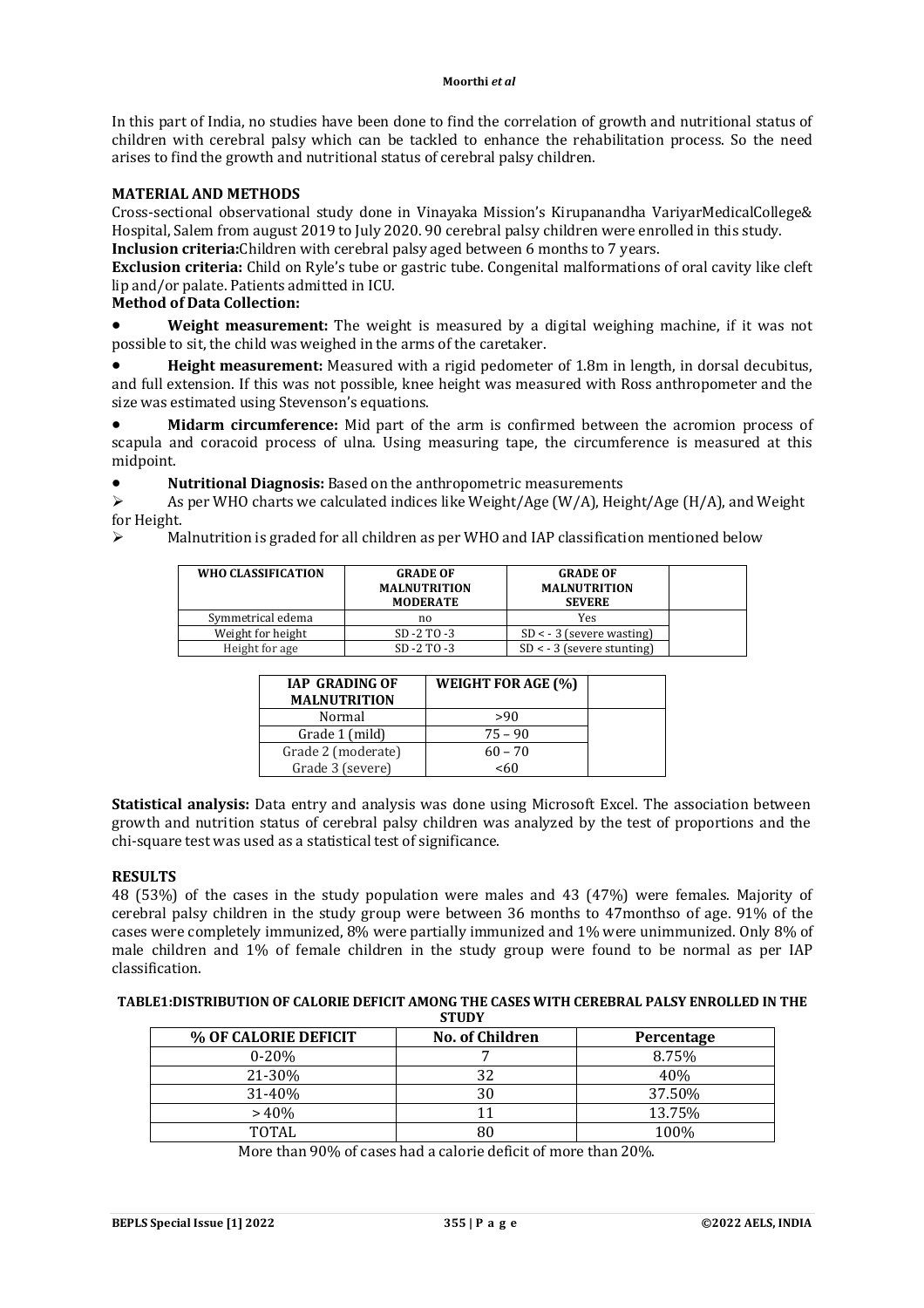#### **Moorthi** *et al*

In this part of India, no studies have been done to find the correlation of growth and nutritional status of children with cerebral palsy which can be tackled to enhance the rehabilitation process. So the need arises to find the growth and nutritional status of cerebral palsy children.

## **MATERIAL AND METHODS**

Cross-sectional observational study done in Vinayaka Mission's Kirupanandha VariyarMedicalCollege& Hospital, Salem from august 2019 to July 2020. 90 cerebral palsy children were enrolled in this study.

**Inclusion criteria:**Children with cerebral palsy aged between 6 months to 7 years.

**Exclusion criteria:** Child on Ryle's tube or gastric tube. Congenital malformations of oral cavity like cleft lip and/or palate. Patients admitted in ICU.

## **Method of Data Collection:**

 **Weight measurement:** The weight is measured by a digital weighing machine, if it was not possible to sit, the child was weighed in the arms of the caretaker.

 **Height measurement:** Measured with a rigid pedometer of 1.8m in length, in dorsal decubitus, and full extension. If this was not possible, knee height was measured with Ross anthropometer and the size was estimated using Stevenson's equations.

 **Midarm circumference:** Mid part of the arm is confirmed between the acromion process of scapula and coracoid process of ulna. Using measuring tape, the circumference is measured at this midpoint.

**• Nutritional Diagnosis:** Based on the anthropometric measurements<br>  $\geq$  As per WHO charts we calculated indices like Weight/Age (W/A) Heir

 As per WHO charts we calculated indices like Weight/Age (W/A), Height/Age (H/A), and Weight for Height.

 $\triangleright$  Malnutrition is graded for all children as per WHO and IAP classification mentioned below

| WHO CLASSIFICATION | <b>GRADE OF</b><br><b>MALNUTRITION</b><br><b>MODERATE</b> | <b>GRADE OF</b><br><b>MALNUTRITION</b><br><b>SEVERE</b> |  |
|--------------------|-----------------------------------------------------------|---------------------------------------------------------|--|
| Symmetrical edema  | no                                                        | Yes                                                     |  |
| Weight for height  | $SD - 2 TO - 3$                                           | $SD < -3$ (severe wasting)                              |  |
| Height for age     | $SD - 2 TO - 3$                                           | $SD < -3$ (severe stunting)                             |  |

| <b>IAP GRADING OF</b><br><b>MALNUTRITION</b> | <b>WEIGHT FOR AGE (%)</b> |  |
|----------------------------------------------|---------------------------|--|
| Normal                                       | >90                       |  |
| Grade 1 (mild)                               | $75 - 90$                 |  |
| Grade 2 (moderate)                           | $60 - 70$                 |  |
| Grade 3 (severe)                             | <60                       |  |

**Statistical analysis:** Data entry and analysis was done using Microsoft Excel. The association between growth and nutrition status of cerebral palsy children was analyzed by the test of proportions and the chi-square test was used as a statistical test of significance.

#### **RESULTS**

48 (53%) of the cases in the study population were males and 43 (47%) were females. Majority of cerebral palsy children in the study group were between 36 months to 47monthso of age. 91% of the cases were completely immunized, 8% were partially immunized and 1% were unimmunized. Only 8% of male children and 1% of female children in the study group were found to be normal as per IAP classification.

#### **TABLE1:DISTRIBUTION OF CALORIE DEFICIT AMONG THE CASES WITH CEREBRAL PALSY ENROLLED IN THE STUDY**

|                      | .                      |            |
|----------------------|------------------------|------------|
| % OF CALORIE DEFICIT | <b>No. of Children</b> | Percentage |
| $0 - 20%$            |                        | 8.75%      |
| 21-30%               | 32                     | 40%        |
| 31-40%               | 30                     | 37.50%     |
| >40%                 |                        | 13.75%     |
| TOTAL                | 80                     | 100%       |

More than 90% of cases had a calorie deficit of more than 20%.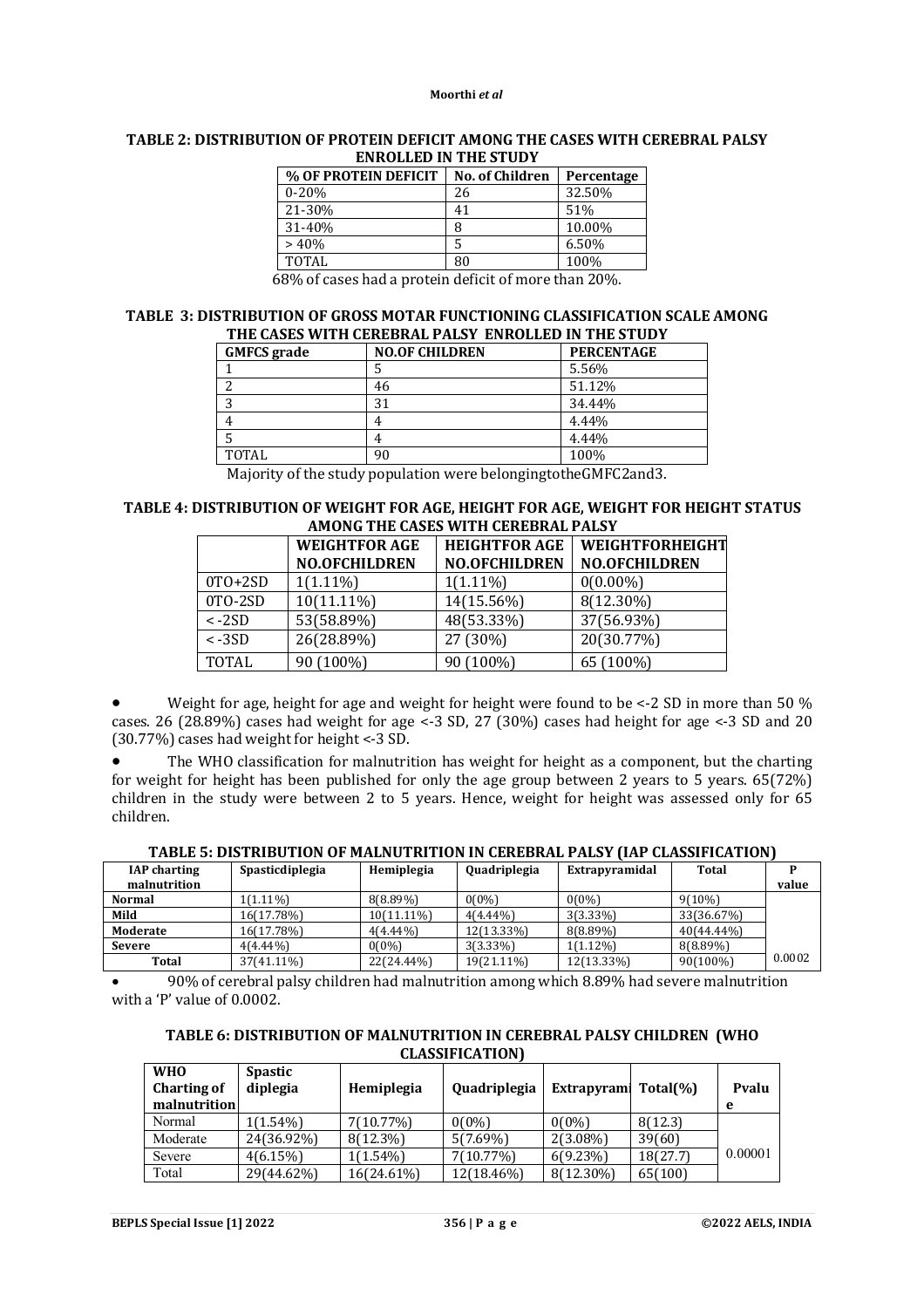#### **Moorthi** *et al*

|                                        | евноевер в тие эторт   |            |
|----------------------------------------|------------------------|------------|
| % OF PROTEIN DEFICIT                   | <b>No. of Children</b> | Percentage |
| $0 - 20%$                              | 26                     | 32.50%     |
| 21-30%                                 | 41                     | 51%        |
| 31-40%                                 | 8                      | 10.00%     |
| >40%                                   | 5                      | 6.50%      |
| <b>TOTAL</b>                           | 80                     | 100%       |
| $\sim$<br>$\sim$<br>.<br>$\sim$ $\sim$ | $\sim$                 | ----       |

#### **TABLE 2: DISTRIBUTION OF PROTEIN DEFICIT AMONG THE CASES WITH CEREBRAL PALSY ENROLLED IN THE STUDY**

68% of cases had a protein deficit of more than 20%.

#### **TABLE 3: DISTRIBUTION OF GROSS MOTAR FUNCTIONING CLASSIFICATION SCALE AMONG THE CASES WITH CEREBRAL PALSY ENROLLED IN THE STUDY**

| THE WIDDY WITH GEREDIANE FACUL ENTROLLED IN THE STOD I |                   |  |  |  |
|--------------------------------------------------------|-------------------|--|--|--|
| <b>NO.OF CHILDREN</b>                                  | <b>PERCENTAGE</b> |  |  |  |
|                                                        | 5.56%             |  |  |  |
| 46                                                     | 51.12%            |  |  |  |
| 31                                                     | 34.44%            |  |  |  |
| 4                                                      | 4.44%             |  |  |  |
| 4                                                      | 4.44%             |  |  |  |
| 90                                                     | 100%              |  |  |  |
|                                                        |                   |  |  |  |

Majority of the study population were belongingtotheGMFC2and3.

#### **TABLE 4: DISTRIBUTION OF WEIGHT FOR AGE, HEIGHT FOR AGE, WEIGHT FOR HEIGHT STATUS AMONG THE CASES WITH CEREBRAL PALSY**

|                | <b>HEIGHTFOR AGE</b><br><b>WEIGHTFOR AGE</b> |                      | WEIGHTFORHEIGHT      |  |  |
|----------------|----------------------------------------------|----------------------|----------------------|--|--|
|                | <b>NO.OFCHILDREN</b>                         | <b>NO.OFCHILDREN</b> | <b>NO.OFCHILDREN</b> |  |  |
| $0T0+2SD$      | $1(1.11\%)$                                  | $1(1.11\%)$          | $0(0.00\%)$          |  |  |
| 0TO-2SD        | $10(11.11\%)$                                | 14(15.56%)           | 8(12.30%)            |  |  |
| $\langle -2SD$ | 53(58.89%)                                   | 48(53.33%)           | 37(56.93%)           |  |  |
| $\langle -3SD$ | 26(28.89%)                                   | 27 (30%)             | 20(30.77%)           |  |  |
| <b>TOTAL</b>   | 90 (100%)                                    | 90 (100%)            | 65 (100%)            |  |  |

Weight for age, height for age and weight for height were found to be <-2 SD in more than 50 % cases. 26 (28.89%) cases had weight for age <-3 SD, 27 (30%) cases had height for age <-3 SD and 20 (30.77%) cases had weight for height <-3 SD.

 The WHO classification for malnutrition has weight for height as a component, but the charting for weight for height has been published for only the age group between 2 years to 5 years. 65(72%) children in the study were between 2 to 5 years. Hence, weight for height was assessed only for 65 children.

| TABLE 5: DISTRIBUTION OF MALNUTRITION IN CEREBRAL PALSY (IAP CLASSIFICATION) |  |
|------------------------------------------------------------------------------|--|
|------------------------------------------------------------------------------|--|

| <b>IAP</b> charting | Spasticdiplegia | Hemiplegia  | Quadriplegia | Extrapyramidal | <b>Total</b> |        |
|---------------------|-----------------|-------------|--------------|----------------|--------------|--------|
| malnutrition        |                 |             |              |                |              | value  |
| <b>Normal</b>       | $1(1.11\%)$     | $8(8.89\%)$ | $0(0\%)$     | $0(0\%)$       | 9(10%)       |        |
| Mild                | 16(17.78%)      | 10(11.11%)  | $4(4.44\%)$  | $3(3.33\%)$    | 33(36.67%)   |        |
| Moderate            | 16(17.78%)      | $4(4.44\%)$ | 12(13.33%)   | 8(8.89%)       | 40(44.44%)   |        |
| <b>Severe</b>       | $4(4.44\%)$     | $0(0\%)$    | $3(3.33\%)$  | $1(1.12\%)$    | 8(8.89%)     |        |
| Total               | 37(41.11%)      | 22(24.44%)  | 19(21.11%)   | 12(13.33%)     | 90(100%)     | 0.0002 |

 90% of cerebral palsy children had malnutrition among which 8.89% had severe malnutrition with a 'P' value of 0.0002.

| TABLE 6: DISTRIBUTION OF MALNUTRITION IN CEREBRAL PALSY CHILDREN (WHO |  |
|-----------------------------------------------------------------------|--|
| <b>CLASSIFICATION</b> )                                               |  |

| <b>WHO</b><br><b>Charting of</b><br>malnutrition | <b>Spastic</b><br>diplegia | Hemiplegia  | <b>Quadriplegia</b> | <b>Extrapyram</b> | Total(%) | Pvalu   |
|--------------------------------------------------|----------------------------|-------------|---------------------|-------------------|----------|---------|
| Normal                                           | $1(1.54\%)$                | 7(10.77%)   | $0(0\%)$            | $0(0\%)$          | 8(12.3)  |         |
| Moderate                                         | 24(36.92%)                 | $8(12.3\%)$ | $5(7.69\%)$         | $2(3.08\%)$       | 39(60)   |         |
| Severe                                           | 4(6.15%)                   | $1(1.54\%)$ | 7(10.77%)           | 6(9.23%)          | 18(27.7) | 0.00001 |
| Total                                            | 29(44.62%)                 | 16(24.61%)  | 12(18.46%)          | 8(12.30%)         | 65(100)  |         |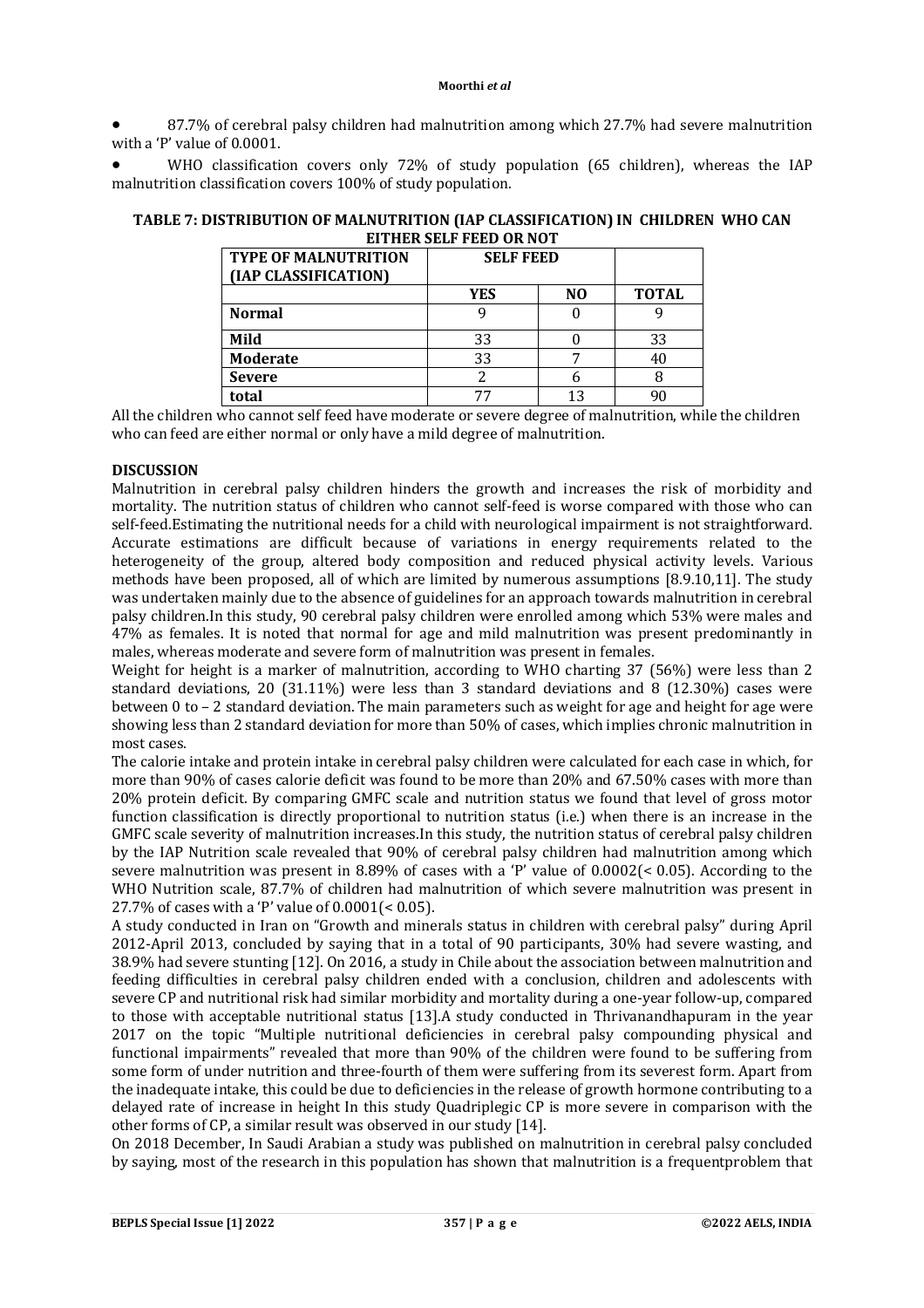87.7% of cerebral palsy children had malnutrition among which 27.7% had severe malnutrition with a 'P' value of 0.0001.

 WHO classification covers only 72% of study population (65 children), whereas the IAP malnutrition classification covers 100% of study population.

| TABLE 7: DISTRIBUTION OF MALNUTRITION (IAP CLASSIFICATION) IN CHILDREN WHO CAN |  |
|--------------------------------------------------------------------------------|--|
| EITHER SELF FEED OR NOT                                                        |  |

| <b>TYPE OF MALNUTRITION</b><br>(IAP CLASSIFICATION) | <b>SELF FEED</b> |                |              |
|-----------------------------------------------------|------------------|----------------|--------------|
|                                                     | <b>YES</b>       | N <sub>0</sub> | <b>TOTAL</b> |
| <b>Normal</b>                                       |                  |                |              |
| Mild                                                | 33               |                | 33           |
| Moderate                                            | 33               |                |              |
| <b>Severe</b>                                       |                  |                |              |
| total                                               |                  |                |              |

All the children who cannot self feed have moderate or severe degree of malnutrition, while the children who can feed are either normal or only have a mild degree of malnutrition.

## **DISCUSSION**

Malnutrition in cerebral palsy children hinders the growth and increases the risk of morbidity and mortality. The nutrition status of children who cannot self-feed is worse compared with those who can self-feed.Estimating the nutritional needs for a child with neurological impairment is not straightforward. Accurate estimations are difficult because of variations in energy requirements related to the heterogeneity of the group, altered body composition and reduced physical activity levels. Various methods have been proposed, all of which are limited by numerous assumptions [8.9.10,11]. The study was undertaken mainly due to the absence of guidelines for an approach towards malnutrition in cerebral palsy children.In this study, 90 cerebral palsy children were enrolled among which 53% were males and 47% as females. It is noted that normal for age and mild malnutrition was present predominantly in males, whereas moderate and severe form of malnutrition was present in females.

Weight for height is a marker of malnutrition, according to WHO charting 37 (56%) were less than 2 standard deviations, 20 (31.11%) were less than 3 standard deviations and 8 (12.30%) cases were between 0 to – 2 standard deviation. The main parameters such as weight for age and height for age were showing less than 2 standard deviation for more than 50% of cases, which implies chronic malnutrition in most cases.

The calorie intake and protein intake in cerebral palsy children were calculated for each case in which, for more than 90% of cases calorie deficit was found to be more than 20% and 67.50% cases with more than 20% protein deficit. By comparing GMFC scale and nutrition status we found that level of gross motor function classification is directly proportional to nutrition status (i.e.) when there is an increase in the GMFC scale severity of malnutrition increases.In this study, the nutrition status of cerebral palsy children by the IAP Nutrition scale revealed that 90% of cerebral palsy children had malnutrition among which severe malnutrition was present in 8.89% of cases with a 'P' value of 0.0002(< 0.05). According to the WHO Nutrition scale, 87.7% of children had malnutrition of which severe malnutrition was present in 27.7% of cases with a 'P' value of 0.0001(< 0.05).

A study conducted in Iran on "Growth and minerals status in children with cerebral palsy" during April 2012-April 2013, concluded by saying that in a total of 90 participants, 30% had severe wasting, and 38.9% had severe stunting [12]. On 2016, a study in Chile about the association between malnutrition and feeding difficulties in cerebral palsy children ended with a conclusion, children and adolescents with severe CP and nutritional risk had similar morbidity and mortality during a one-year follow-up, compared to those with acceptable nutritional status [13].A study conducted in Thrivanandhapuram in the year 2017 on the topic "Multiple nutritional deficiencies in cerebral palsy compounding physical and functional impairments" revealed that more than 90% of the children were found to be suffering from some form of under nutrition and three-fourth of them were suffering from its severest form. Apart from the inadequate intake, this could be due to deficiencies in the release of growth hormone contributing to a delayed rate of increase in height In this study Quadriplegic CP is more severe in comparison with the other forms of CP, a similar result was observed in our study [14].

On 2018 December, In Saudi Arabian a study was published on malnutrition in cerebral palsy concluded by saying, most of the research in this population has shown that malnutrition is a frequentproblem that